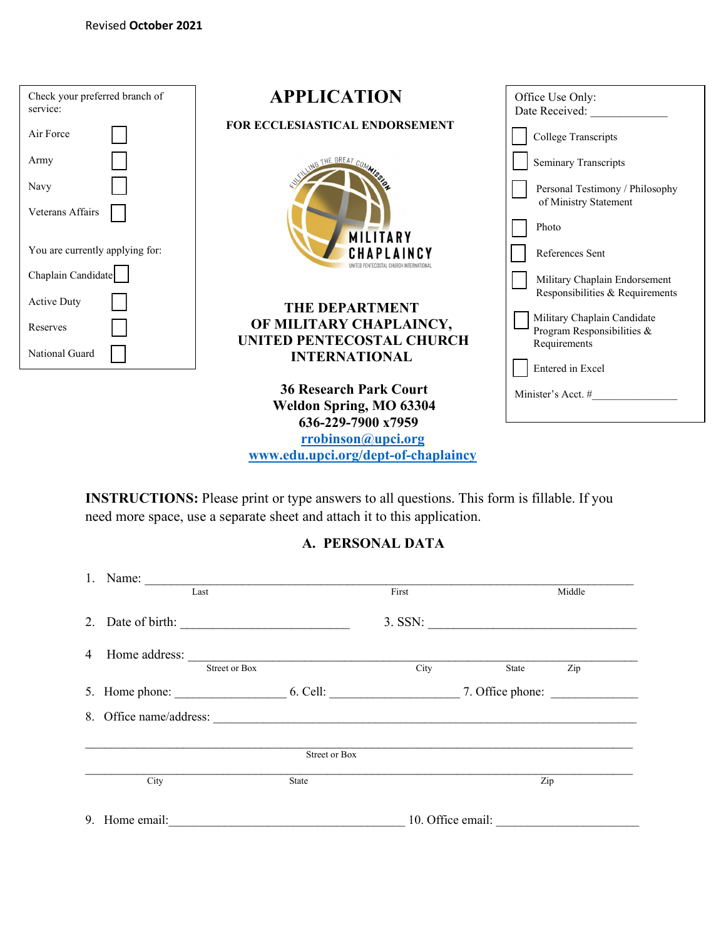| Check your preferred branch of<br>service: | <b>APPLICATION</b>                  | Office Use Only:                                                 |  |  |  |
|--------------------------------------------|-------------------------------------|------------------------------------------------------------------|--|--|--|
|                                            |                                     | Date Received:                                                   |  |  |  |
| Air Force                                  | FOR ECCLESIASTICAL ENDORSEMENT      | <b>College Transcripts</b>                                       |  |  |  |
| Army                                       | THE GREAT COMA                      | <b>Seminary Transcripts</b>                                      |  |  |  |
| Navy                                       |                                     | Personal Testimony / Philosophy<br>of Ministry Statement         |  |  |  |
| Veterans Affairs                           | <b>MILITARY</b>                     | Photo                                                            |  |  |  |
| You are currently applying for:            | CHAPLAINCY                          | References Sent                                                  |  |  |  |
| Chaplain Candidate                         |                                     | Military Chaplain Endorsement<br>Responsibilities & Requirements |  |  |  |
| <b>Active Duty</b>                         | THE DEPARTMENT                      |                                                                  |  |  |  |
| Reserves                                   | OF MILITARY CHAPLAINCY,             | Military Chaplain Candidate                                      |  |  |  |
|                                            | UNITED PENTECOSTAL CHURCH           | Program Responsibilities &<br>Requirements                       |  |  |  |
| National Guard                             | <b>INTERNATIONAL</b>                |                                                                  |  |  |  |
|                                            |                                     | Entered in Excel                                                 |  |  |  |
|                                            | <b>36 Research Park Court</b>       | Minister's Acct. #                                               |  |  |  |
| <b>Weldon Spring, MO 63304</b>             |                                     |                                                                  |  |  |  |
| 636-229-7900 x7959                         |                                     |                                                                  |  |  |  |
| rrobinson@upci.org                         |                                     |                                                                  |  |  |  |
|                                            | www.edu.upci.org/dept-of-chaplaincy |                                                                  |  |  |  |

**INSTRUCTIONS:** Please print or type answers to all questions. This form is fillable. If you need more space, use a separate sheet and attach it to this application.

# **A. PERSONAL DATA**

| 1. | Name:                   |                      |       |                   |        |
|----|-------------------------|----------------------|-------|-------------------|--------|
|    | Last                    |                      | First |                   | Middle |
|    | 2. Date of birth:       |                      |       | $3.$ SSN:         |        |
| 4  |                         |                      |       |                   |        |
|    | <b>Street or Box</b>    |                      | City  | State             | Zip    |
|    |                         |                      |       |                   |        |
|    | 8. Office name/address: |                      |       |                   |        |
|    |                         | <b>Street or Box</b> |       |                   |        |
|    | City                    | State                |       | Zip               |        |
|    | 9. Home email:          |                      |       | 10. Office email: |        |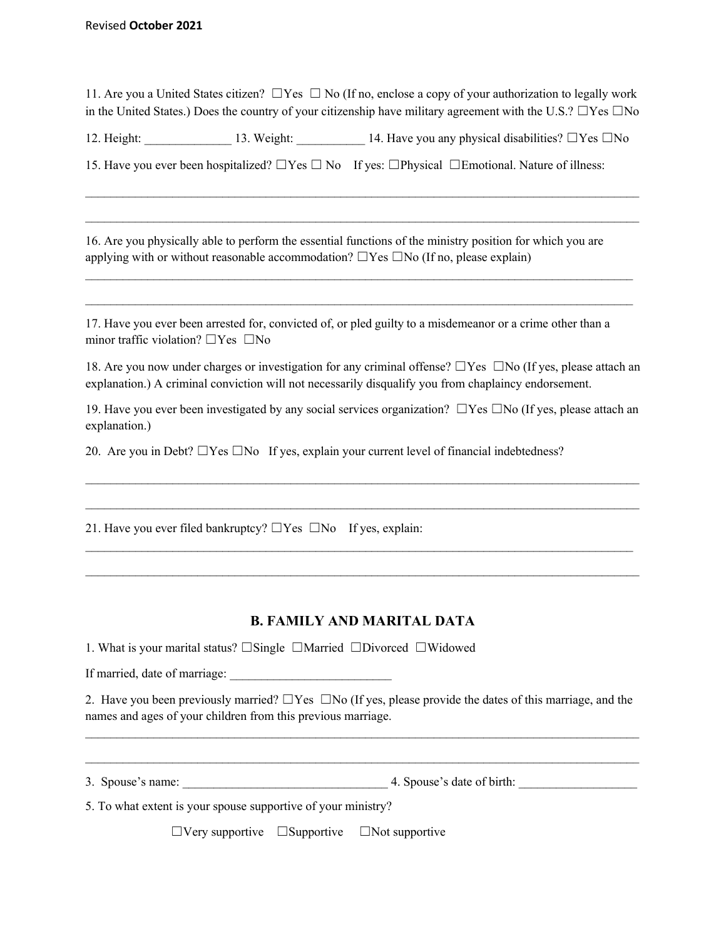11. Are you a United States citizen? ☐Yes ☐ No (If no, enclose a copy of your authorization to legally work in the United States.) Does the country of your citizenship have military agreement with the U.S.? ☐Yes ☐No

12. Height: 13. Weight: 14. Have you any physical disabilities? □Yes □No

 $\mathcal{L}_\mathcal{L} = \{ \mathcal{L}_\mathcal{L} = \{ \mathcal{L}_\mathcal{L} = \{ \mathcal{L}_\mathcal{L} = \{ \mathcal{L}_\mathcal{L} = \{ \mathcal{L}_\mathcal{L} = \{ \mathcal{L}_\mathcal{L} = \{ \mathcal{L}_\mathcal{L} = \{ \mathcal{L}_\mathcal{L} = \{ \mathcal{L}_\mathcal{L} = \{ \mathcal{L}_\mathcal{L} = \{ \mathcal{L}_\mathcal{L} = \{ \mathcal{L}_\mathcal{L} = \{ \mathcal{L}_\mathcal{L} = \{ \mathcal{L}_\mathcal{$ 

 $\mathcal{L}_\mathcal{L} = \{ \mathcal{L}_\mathcal{L} = \{ \mathcal{L}_\mathcal{L} = \{ \mathcal{L}_\mathcal{L} = \{ \mathcal{L}_\mathcal{L} = \{ \mathcal{L}_\mathcal{L} = \{ \mathcal{L}_\mathcal{L} = \{ \mathcal{L}_\mathcal{L} = \{ \mathcal{L}_\mathcal{L} = \{ \mathcal{L}_\mathcal{L} = \{ \mathcal{L}_\mathcal{L} = \{ \mathcal{L}_\mathcal{L} = \{ \mathcal{L}_\mathcal{L} = \{ \mathcal{L}_\mathcal{L} = \{ \mathcal{L}_\mathcal{$ 

 $\mathcal{L}_\mathcal{L} = \{ \mathcal{L}_\mathcal{L} = \{ \mathcal{L}_\mathcal{L} = \{ \mathcal{L}_\mathcal{L} = \{ \mathcal{L}_\mathcal{L} = \{ \mathcal{L}_\mathcal{L} = \{ \mathcal{L}_\mathcal{L} = \{ \mathcal{L}_\mathcal{L} = \{ \mathcal{L}_\mathcal{L} = \{ \mathcal{L}_\mathcal{L} = \{ \mathcal{L}_\mathcal{L} = \{ \mathcal{L}_\mathcal{L} = \{ \mathcal{L}_\mathcal{L} = \{ \mathcal{L}_\mathcal{L} = \{ \mathcal{L}_\mathcal{$ 

 $\mathcal{L}_\mathcal{L} = \{ \mathcal{L}_\mathcal{L} = \{ \mathcal{L}_\mathcal{L} = \{ \mathcal{L}_\mathcal{L} = \{ \mathcal{L}_\mathcal{L} = \{ \mathcal{L}_\mathcal{L} = \{ \mathcal{L}_\mathcal{L} = \{ \mathcal{L}_\mathcal{L} = \{ \mathcal{L}_\mathcal{L} = \{ \mathcal{L}_\mathcal{L} = \{ \mathcal{L}_\mathcal{L} = \{ \mathcal{L}_\mathcal{L} = \{ \mathcal{L}_\mathcal{L} = \{ \mathcal{L}_\mathcal{L} = \{ \mathcal{L}_\mathcal{$ 

15. Have you ever been hospitalized?  $\square$  Yes  $\square$  No If yes:  $\square$  Physical  $\square$  Emotional. Nature of illness:

16. Are you physically able to perform the essential functions of the ministry position for which you are applying with or without reasonable accommodation?  $\square$  Yes  $\square$  No (If no, please explain)

17. Have you ever been arrested for, convicted of, or pled guilty to a misdemeanor or a crime other than a minor traffic violation? ☐Yes ☐No

18. Are you now under charges or investigation for any criminal offense? ☐Yes ☐No (If yes, please attach an explanation.) A criminal conviction will not necessarily disqualify you from chaplaincy endorsement.

19. Have you ever been investigated by any social services organization?  $\square$  Yes  $\square$  No (If yes, please attach an explanation.)

 $\mathcal{L}_\text{max}$ 

 $\mathcal{L}_\mathcal{L} = \mathcal{L}_\mathcal{L} = \mathcal{L}_\mathcal{L} = \mathcal{L}_\mathcal{L} = \mathcal{L}_\mathcal{L} = \mathcal{L}_\mathcal{L} = \mathcal{L}_\mathcal{L} = \mathcal{L}_\mathcal{L} = \mathcal{L}_\mathcal{L} = \mathcal{L}_\mathcal{L} = \mathcal{L}_\mathcal{L} = \mathcal{L}_\mathcal{L} = \mathcal{L}_\mathcal{L} = \mathcal{L}_\mathcal{L} = \mathcal{L}_\mathcal{L} = \mathcal{L}_\mathcal{L} = \mathcal{L}_\mathcal{L}$ 

 $\mathcal{L}_\mathcal{L} = \{ \mathcal{L}_\mathcal{L} = \{ \mathcal{L}_\mathcal{L} = \{ \mathcal{L}_\mathcal{L} = \{ \mathcal{L}_\mathcal{L} = \{ \mathcal{L}_\mathcal{L} = \{ \mathcal{L}_\mathcal{L} = \{ \mathcal{L}_\mathcal{L} = \{ \mathcal{L}_\mathcal{L} = \{ \mathcal{L}_\mathcal{L} = \{ \mathcal{L}_\mathcal{L} = \{ \mathcal{L}_\mathcal{L} = \{ \mathcal{L}_\mathcal{L} = \{ \mathcal{L}_\mathcal{L} = \{ \mathcal{L}_\mathcal{$ 

 $\mathcal{L}_\mathcal{L} = \mathcal{L}_\mathcal{L} = \mathcal{L}_\mathcal{L} = \mathcal{L}_\mathcal{L} = \mathcal{L}_\mathcal{L} = \mathcal{L}_\mathcal{L} = \mathcal{L}_\mathcal{L} = \mathcal{L}_\mathcal{L} = \mathcal{L}_\mathcal{L} = \mathcal{L}_\mathcal{L} = \mathcal{L}_\mathcal{L} = \mathcal{L}_\mathcal{L} = \mathcal{L}_\mathcal{L} = \mathcal{L}_\mathcal{L} = \mathcal{L}_\mathcal{L} = \mathcal{L}_\mathcal{L} = \mathcal{L}_\mathcal{L}$ 

20. Are you in Debt?  $\Box$ Yes  $\Box$ No If yes, explain your current level of financial indebtedness?

21. Have you ever filed bankruptcy?  $\Box$  Yes  $\Box$  No If yes, explain:

## **B. FAMILY AND MARITAL DATA**

1. What is your marital status? ☐Single ☐Married ☐Divorced ☐Widowed

If married, date of marriage:

2. Have you been previously married?  $\square$  Yes  $\square$  No (If yes, please provide the dates of this marriage, and the names and ages of your children from this previous marriage.

\_\_\_\_\_\_\_\_\_\_\_\_\_\_\_\_\_\_\_\_\_\_\_\_\_\_\_\_\_\_\_\_\_\_\_\_\_\_\_\_\_\_\_\_\_\_\_\_\_\_\_\_\_\_\_\_\_\_\_\_\_\_\_\_\_\_\_\_\_\_\_\_\_\_\_\_\_\_\_\_\_\_\_\_\_\_\_\_\_

 $\mathcal{L}_\mathcal{L} = \mathcal{L}_\mathcal{L} = \mathcal{L}_\mathcal{L} = \mathcal{L}_\mathcal{L} = \mathcal{L}_\mathcal{L} = \mathcal{L}_\mathcal{L} = \mathcal{L}_\mathcal{L} = \mathcal{L}_\mathcal{L} = \mathcal{L}_\mathcal{L} = \mathcal{L}_\mathcal{L} = \mathcal{L}_\mathcal{L} = \mathcal{L}_\mathcal{L} = \mathcal{L}_\mathcal{L} = \mathcal{L}_\mathcal{L} = \mathcal{L}_\mathcal{L} = \mathcal{L}_\mathcal{L} = \mathcal{L}_\mathcal{L}$ 

3. Spouse's name:  $\qquad \qquad \qquad$  4. Spouse's date of birth:

5. To what extent is your spouse supportive of your ministry?

☐Very supportive ☐Supportive ☐Not supportive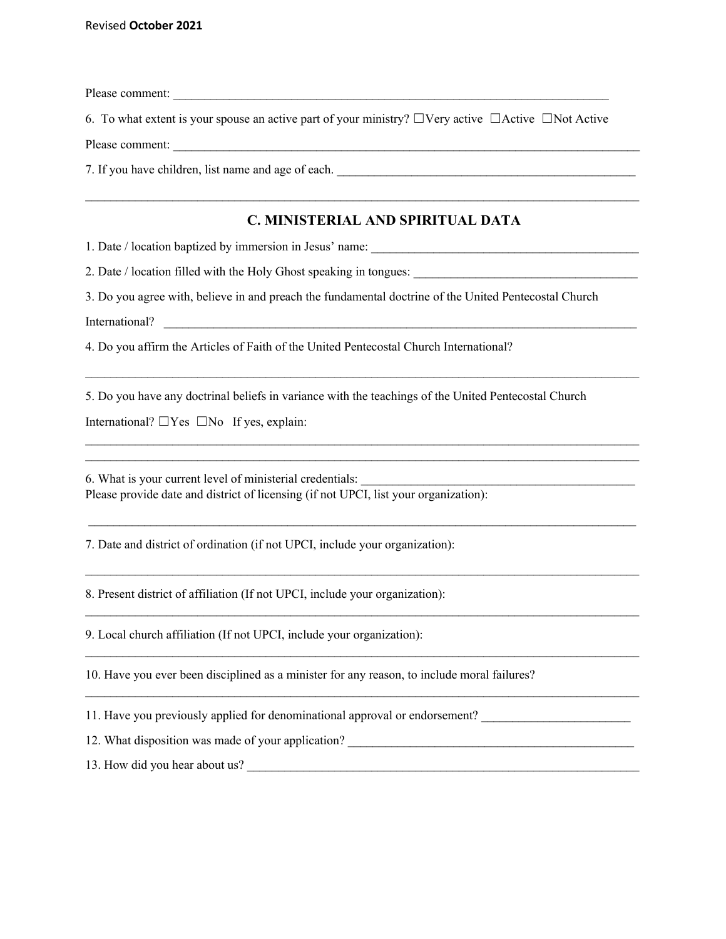Please comment:

6. To what extent is your spouse an active part of your ministry? ☐Very active ☐Active ☐Not Active

 $\_$  , and the state of the state of the state of the state of the state of the state of the state of the state of the state of the state of the state of the state of the state of the state of the state of the state of the

Please comment:

7. If you have children, list name and age of each.

### **C. MINISTERIAL AND SPIRITUAL DATA**

1. Date / location baptized by immersion in Jesus' name:

2. Date / location filled with the Holy Ghost speaking in tongues: \_\_\_\_\_\_\_\_\_\_\_\_\_\_

3. Do you agree with, believe in and preach the fundamental doctrine of the United Pentecostal Church

International?

4. Do you affirm the Articles of Faith of the United Pentecostal Church International?

5. Do you have any doctrinal beliefs in variance with the teachings of the United Pentecostal Church

 $\mathcal{L}_\text{max}$ 

 $\mathcal{L}_\mathcal{L} = \mathcal{L}_\mathcal{L} = \mathcal{L}_\mathcal{L} = \mathcal{L}_\mathcal{L} = \mathcal{L}_\mathcal{L} = \mathcal{L}_\mathcal{L} = \mathcal{L}_\mathcal{L} = \mathcal{L}_\mathcal{L} = \mathcal{L}_\mathcal{L} = \mathcal{L}_\mathcal{L} = \mathcal{L}_\mathcal{L} = \mathcal{L}_\mathcal{L} = \mathcal{L}_\mathcal{L} = \mathcal{L}_\mathcal{L} = \mathcal{L}_\mathcal{L} = \mathcal{L}_\mathcal{L} = \mathcal{L}_\mathcal{L}$  $\mathcal{L}_\mathcal{L} = \mathcal{L}_\mathcal{L} = \mathcal{L}_\mathcal{L} = \mathcal{L}_\mathcal{L} = \mathcal{L}_\mathcal{L} = \mathcal{L}_\mathcal{L} = \mathcal{L}_\mathcal{L} = \mathcal{L}_\mathcal{L} = \mathcal{L}_\mathcal{L} = \mathcal{L}_\mathcal{L} = \mathcal{L}_\mathcal{L} = \mathcal{L}_\mathcal{L} = \mathcal{L}_\mathcal{L} = \mathcal{L}_\mathcal{L} = \mathcal{L}_\mathcal{L} = \mathcal{L}_\mathcal{L} = \mathcal{L}_\mathcal{L}$ 

 $\mathcal{L}_\text{max}$  and  $\mathcal{L}_\text{max}$  and  $\mathcal{L}_\text{max}$  and  $\mathcal{L}_\text{max}$  and  $\mathcal{L}_\text{max}$  and  $\mathcal{L}_\text{max}$ 

 $\mathcal{L}_\mathcal{L} = \mathcal{L}_\mathcal{L} = \mathcal{L}_\mathcal{L} = \mathcal{L}_\mathcal{L} = \mathcal{L}_\mathcal{L} = \mathcal{L}_\mathcal{L} = \mathcal{L}_\mathcal{L} = \mathcal{L}_\mathcal{L} = \mathcal{L}_\mathcal{L} = \mathcal{L}_\mathcal{L} = \mathcal{L}_\mathcal{L} = \mathcal{L}_\mathcal{L} = \mathcal{L}_\mathcal{L} = \mathcal{L}_\mathcal{L} = \mathcal{L}_\mathcal{L} = \mathcal{L}_\mathcal{L} = \mathcal{L}_\mathcal{L}$ 

 $\mathcal{L}_\text{max}$ 

 $\mathcal{L}_\mathcal{L} = \{ \mathcal{L}_\mathcal{L} = \{ \mathcal{L}_\mathcal{L} = \{ \mathcal{L}_\mathcal{L} = \{ \mathcal{L}_\mathcal{L} = \{ \mathcal{L}_\mathcal{L} = \{ \mathcal{L}_\mathcal{L} = \{ \mathcal{L}_\mathcal{L} = \{ \mathcal{L}_\mathcal{L} = \{ \mathcal{L}_\mathcal{L} = \{ \mathcal{L}_\mathcal{L} = \{ \mathcal{L}_\mathcal{L} = \{ \mathcal{L}_\mathcal{L} = \{ \mathcal{L}_\mathcal{L} = \{ \mathcal{L}_\mathcal{$ 

 $\_$  , and the state of the state of the state of the state of the state of the state of the state of the state of the state of the state of the state of the state of the state of the state of the state of the state of the

International?  $\Box$  Yes  $\Box$  No If yes, explain:

6. What is your current level of ministerial credentials: Please provide date and district of licensing (if not UPCI, list your organization):

7. Date and district of ordination (if not UPCI, include your organization):

8. Present district of affiliation (If not UPCI, include your organization):

9. Local church affiliation (If not UPCI, include your organization):

10. Have you ever been disciplined as a minister for any reason, to include moral failures?

11. Have you previously applied for denominational approval or endorsement? \_\_\_\_\_\_\_\_\_\_\_\_\_\_\_\_\_\_\_\_\_\_\_\_\_\_\_\_\_\_\_\_\_\_

12. What disposition was made of your application?

13. How did you hear about us?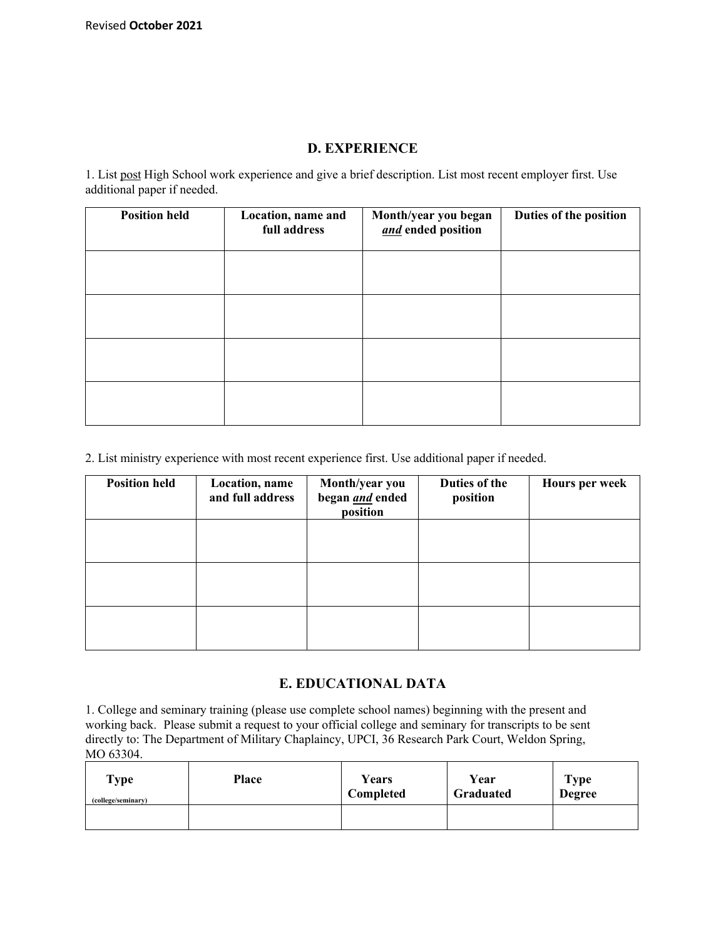#### **D. EXPERIENCE**

1. List post High School work experience and give a brief description. List most recent employer first. Use additional paper if needed.

| <b>Position held</b> | Location, name and<br>full address | Month/year you began<br>and ended position | Duties of the position |
|----------------------|------------------------------------|--------------------------------------------|------------------------|
|                      |                                    |                                            |                        |
|                      |                                    |                                            |                        |
|                      |                                    |                                            |                        |
|                      |                                    |                                            |                        |

2. List ministry experience with most recent experience first. Use additional paper if needed.

| <b>Position held</b> | Location, name<br>and full address | Month/year you<br>began <i>and</i> ended<br>position | Duties of the<br>position | <b>Hours per week</b> |
|----------------------|------------------------------------|------------------------------------------------------|---------------------------|-----------------------|
|                      |                                    |                                                      |                           |                       |
|                      |                                    |                                                      |                           |                       |
|                      |                                    |                                                      |                           |                       |

## **E. EDUCATIONAL DATA**

1. College and seminary training (please use complete school names) beginning with the present and working back. Please submit a request to your official college and seminary for transcripts to be sent directly to: The Department of Military Chaplaincy, UPCI, 36 Research Park Court, Weldon Spring, MO 63304.

| Type               | Place | Years     | Year      | <b>Type</b>   |
|--------------------|-------|-----------|-----------|---------------|
| (college/seminary) |       | Completed | Graduated | <b>Degree</b> |
|                    |       |           |           |               |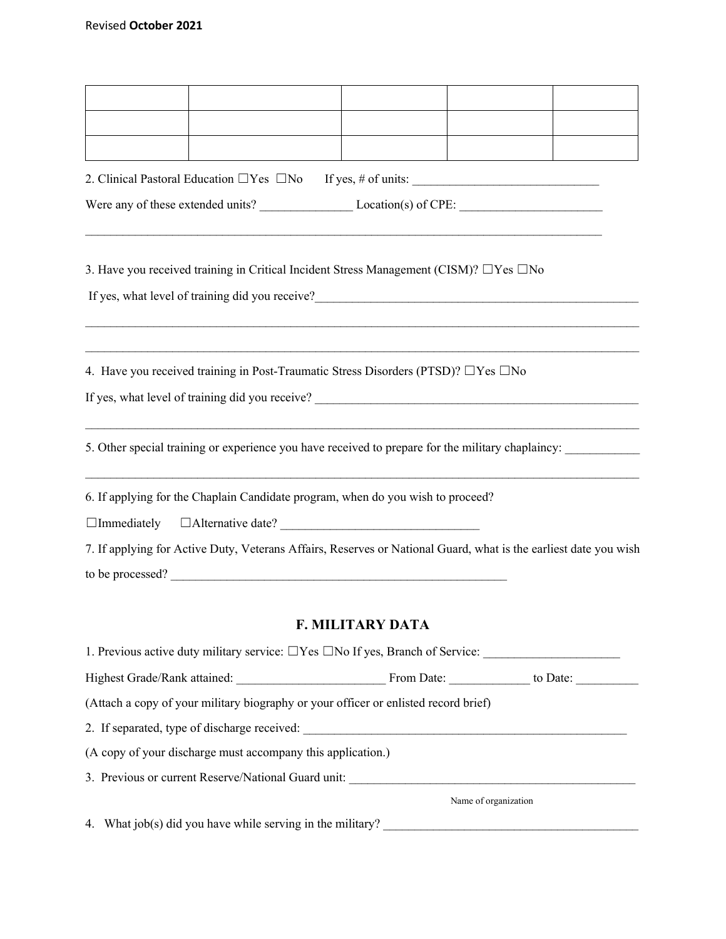| 3. Have you received training in Critical Incident Stress Management (CISM)? $\Box$ Yes $\Box$ No                |                         |                      |  |
|------------------------------------------------------------------------------------------------------------------|-------------------------|----------------------|--|
| 4. Have you received training in Post-Traumatic Stress Disorders (PTSD)? $\Box$ Yes $\Box$ No                    |                         |                      |  |
| 5. Other special training or experience you have received to prepare for the military chaplaincy:                |                         |                      |  |
| 6. If applying for the Chaplain Candidate program, when do you wish to proceed?                                  |                         |                      |  |
| 7. If applying for Active Duty, Veterans Affairs, Reserves or National Guard, what is the earliest date you wish |                         |                      |  |
|                                                                                                                  | <b>F. MILITARY DATA</b> |                      |  |
|                                                                                                                  |                         |                      |  |
|                                                                                                                  |                         |                      |  |
| (Attach a copy of your military biography or your officer or enlisted record brief)                              |                         |                      |  |
|                                                                                                                  |                         |                      |  |
| (A copy of your discharge must accompany this application.)                                                      |                         |                      |  |
|                                                                                                                  |                         |                      |  |
|                                                                                                                  |                         | Name of organization |  |
| 4. What job(s) did you have while serving in the military? ______________________                                |                         |                      |  |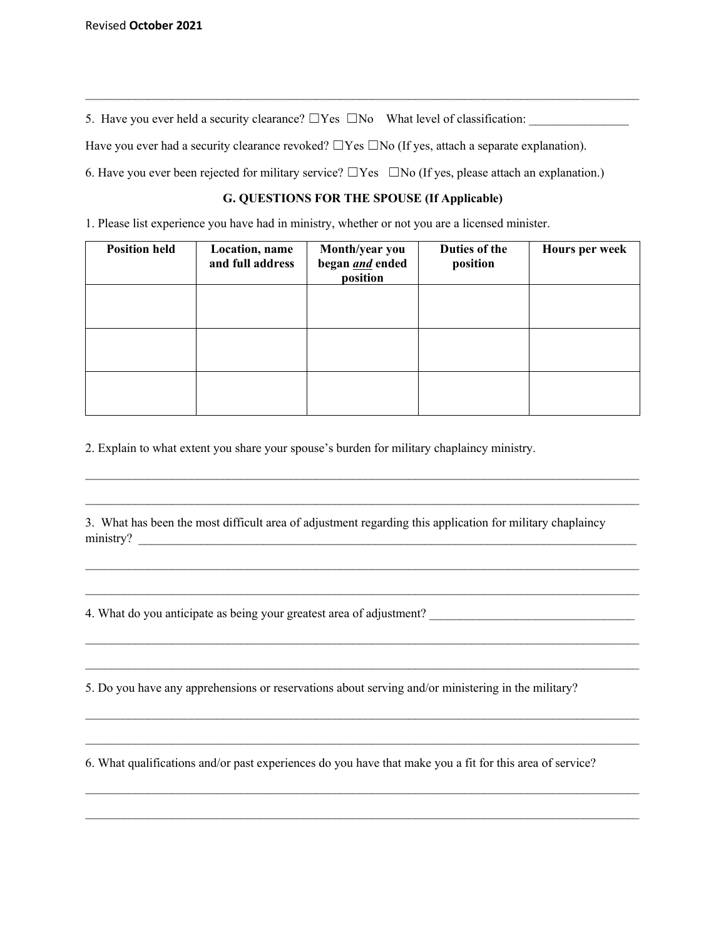5. Have you ever held a security clearance?  $\square$  Yes  $\square$  No What level of classification:

Have you ever had a security clearance revoked?  $\Box$  Yes  $\Box$  No (If yes, attach a separate explanation).

6. Have you ever been rejected for military service?  $\Box$  Yes  $\Box$  No (If yes, please attach an explanation.)

#### **G. QUESTIONS FOR THE SPOUSE (If Applicable)**

 $\mathcal{L}_\mathcal{L} = \mathcal{L}_\mathcal{L} = \mathcal{L}_\mathcal{L} = \mathcal{L}_\mathcal{L} = \mathcal{L}_\mathcal{L} = \mathcal{L}_\mathcal{L} = \mathcal{L}_\mathcal{L} = \mathcal{L}_\mathcal{L} = \mathcal{L}_\mathcal{L} = \mathcal{L}_\mathcal{L} = \mathcal{L}_\mathcal{L} = \mathcal{L}_\mathcal{L} = \mathcal{L}_\mathcal{L} = \mathcal{L}_\mathcal{L} = \mathcal{L}_\mathcal{L} = \mathcal{L}_\mathcal{L} = \mathcal{L}_\mathcal{L}$ 

1. Please list experience you have had in ministry, whether or not you are a licensed minister.

| <b>Position held</b> | Location, name<br>and full address | Month/year you<br>began <i>and</i> ended<br>position | Duties of the<br>position | <b>Hours per week</b> |
|----------------------|------------------------------------|------------------------------------------------------|---------------------------|-----------------------|
|                      |                                    |                                                      |                           |                       |
|                      |                                    |                                                      |                           |                       |
|                      |                                    |                                                      |                           |                       |

2. Explain to what extent you share your spouse's burden for military chaplaincy ministry.

3. What has been the most difficult area of adjustment regarding this application for military chaplaincy ministry?

 $\mathcal{L}_\mathcal{L} = \mathcal{L}_\mathcal{L} = \mathcal{L}_\mathcal{L} = \mathcal{L}_\mathcal{L} = \mathcal{L}_\mathcal{L} = \mathcal{L}_\mathcal{L} = \mathcal{L}_\mathcal{L} = \mathcal{L}_\mathcal{L} = \mathcal{L}_\mathcal{L} = \mathcal{L}_\mathcal{L} = \mathcal{L}_\mathcal{L} = \mathcal{L}_\mathcal{L} = \mathcal{L}_\mathcal{L} = \mathcal{L}_\mathcal{L} = \mathcal{L}_\mathcal{L} = \mathcal{L}_\mathcal{L} = \mathcal{L}_\mathcal{L}$ 

 $\mathcal{L}_\mathcal{L} = \mathcal{L}_\mathcal{L} = \mathcal{L}_\mathcal{L} = \mathcal{L}_\mathcal{L} = \mathcal{L}_\mathcal{L} = \mathcal{L}_\mathcal{L} = \mathcal{L}_\mathcal{L} = \mathcal{L}_\mathcal{L} = \mathcal{L}_\mathcal{L} = \mathcal{L}_\mathcal{L} = \mathcal{L}_\mathcal{L} = \mathcal{L}_\mathcal{L} = \mathcal{L}_\mathcal{L} = \mathcal{L}_\mathcal{L} = \mathcal{L}_\mathcal{L} = \mathcal{L}_\mathcal{L} = \mathcal{L}_\mathcal{L}$ 

 $\mathcal{L}_\mathcal{L} = \mathcal{L}_\mathcal{L} = \mathcal{L}_\mathcal{L} = \mathcal{L}_\mathcal{L} = \mathcal{L}_\mathcal{L} = \mathcal{L}_\mathcal{L} = \mathcal{L}_\mathcal{L} = \mathcal{L}_\mathcal{L} = \mathcal{L}_\mathcal{L} = \mathcal{L}_\mathcal{L} = \mathcal{L}_\mathcal{L} = \mathcal{L}_\mathcal{L} = \mathcal{L}_\mathcal{L} = \mathcal{L}_\mathcal{L} = \mathcal{L}_\mathcal{L} = \mathcal{L}_\mathcal{L} = \mathcal{L}_\mathcal{L}$ 

 $\mathcal{L}_\mathcal{L} = \mathcal{L}_\mathcal{L} = \mathcal{L}_\mathcal{L} = \mathcal{L}_\mathcal{L} = \mathcal{L}_\mathcal{L} = \mathcal{L}_\mathcal{L} = \mathcal{L}_\mathcal{L} = \mathcal{L}_\mathcal{L} = \mathcal{L}_\mathcal{L} = \mathcal{L}_\mathcal{L} = \mathcal{L}_\mathcal{L} = \mathcal{L}_\mathcal{L} = \mathcal{L}_\mathcal{L} = \mathcal{L}_\mathcal{L} = \mathcal{L}_\mathcal{L} = \mathcal{L}_\mathcal{L} = \mathcal{L}_\mathcal{L}$ 

 $\mathcal{L}_\text{max}$ 

 $\mathcal{L}_\text{max}$ 

 $\mathcal{L}_\mathcal{L} = \{ \mathcal{L}_\mathcal{L} = \{ \mathcal{L}_\mathcal{L} = \{ \mathcal{L}_\mathcal{L} = \{ \mathcal{L}_\mathcal{L} = \{ \mathcal{L}_\mathcal{L} = \{ \mathcal{L}_\mathcal{L} = \{ \mathcal{L}_\mathcal{L} = \{ \mathcal{L}_\mathcal{L} = \{ \mathcal{L}_\mathcal{L} = \{ \mathcal{L}_\mathcal{L} = \{ \mathcal{L}_\mathcal{L} = \{ \mathcal{L}_\mathcal{L} = \{ \mathcal{L}_\mathcal{L} = \{ \mathcal{L}_\mathcal{$ 

 $\mathcal{L}_\mathcal{L} = \{ \mathcal{L}_\mathcal{L} = \{ \mathcal{L}_\mathcal{L} = \{ \mathcal{L}_\mathcal{L} = \{ \mathcal{L}_\mathcal{L} = \{ \mathcal{L}_\mathcal{L} = \{ \mathcal{L}_\mathcal{L} = \{ \mathcal{L}_\mathcal{L} = \{ \mathcal{L}_\mathcal{L} = \{ \mathcal{L}_\mathcal{L} = \{ \mathcal{L}_\mathcal{L} = \{ \mathcal{L}_\mathcal{L} = \{ \mathcal{L}_\mathcal{L} = \{ \mathcal{L}_\mathcal{L} = \{ \mathcal{L}_\mathcal{$ 

 $\mathcal{L}_\mathcal{L} = \{ \mathcal{L}_\mathcal{L} = \{ \mathcal{L}_\mathcal{L} = \{ \mathcal{L}_\mathcal{L} = \{ \mathcal{L}_\mathcal{L} = \{ \mathcal{L}_\mathcal{L} = \{ \mathcal{L}_\mathcal{L} = \{ \mathcal{L}_\mathcal{L} = \{ \mathcal{L}_\mathcal{L} = \{ \mathcal{L}_\mathcal{L} = \{ \mathcal{L}_\mathcal{L} = \{ \mathcal{L}_\mathcal{L} = \{ \mathcal{L}_\mathcal{L} = \{ \mathcal{L}_\mathcal{L} = \{ \mathcal{L}_\mathcal{$ 

 $\mathcal{L}_\mathcal{L} = \{ \mathcal{L}_\mathcal{L} = \{ \mathcal{L}_\mathcal{L} = \{ \mathcal{L}_\mathcal{L} = \{ \mathcal{L}_\mathcal{L} = \{ \mathcal{L}_\mathcal{L} = \{ \mathcal{L}_\mathcal{L} = \{ \mathcal{L}_\mathcal{L} = \{ \mathcal{L}_\mathcal{L} = \{ \mathcal{L}_\mathcal{L} = \{ \mathcal{L}_\mathcal{L} = \{ \mathcal{L}_\mathcal{L} = \{ \mathcal{L}_\mathcal{L} = \{ \mathcal{L}_\mathcal{L} = \{ \mathcal{L}_\mathcal{$ 

4. What do you anticipate as being your greatest area of adjustment?

5. Do you have any apprehensions or reservations about serving and/or ministering in the military?

6. What qualifications and/or past experiences do you have that make you a fit for this area of service?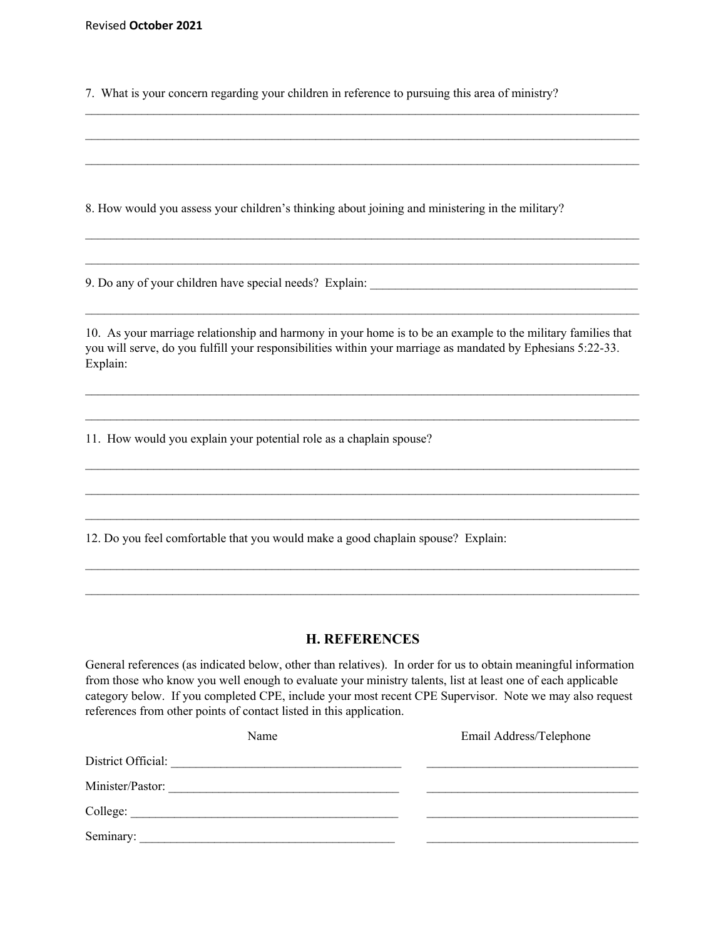Revised **October 2021**

7. What is your concern regarding your children in reference to pursuing this area of ministry?

 $\mathcal{L}_\mathcal{L} = \mathcal{L}_\mathcal{L} = \mathcal{L}_\mathcal{L} = \mathcal{L}_\mathcal{L} = \mathcal{L}_\mathcal{L} = \mathcal{L}_\mathcal{L} = \mathcal{L}_\mathcal{L} = \mathcal{L}_\mathcal{L} = \mathcal{L}_\mathcal{L} = \mathcal{L}_\mathcal{L} = \mathcal{L}_\mathcal{L} = \mathcal{L}_\mathcal{L} = \mathcal{L}_\mathcal{L} = \mathcal{L}_\mathcal{L} = \mathcal{L}_\mathcal{L} = \mathcal{L}_\mathcal{L} = \mathcal{L}_\mathcal{L}$ 

 $\mathcal{L}_\mathcal{L} = \mathcal{L}_\mathcal{L} = \mathcal{L}_\mathcal{L} = \mathcal{L}_\mathcal{L} = \mathcal{L}_\mathcal{L} = \mathcal{L}_\mathcal{L} = \mathcal{L}_\mathcal{L} = \mathcal{L}_\mathcal{L} = \mathcal{L}_\mathcal{L} = \mathcal{L}_\mathcal{L} = \mathcal{L}_\mathcal{L} = \mathcal{L}_\mathcal{L} = \mathcal{L}_\mathcal{L} = \mathcal{L}_\mathcal{L} = \mathcal{L}_\mathcal{L} = \mathcal{L}_\mathcal{L} = \mathcal{L}_\mathcal{L}$ 

 $\mathcal{L}_\mathcal{L} = \mathcal{L}_\mathcal{L} = \mathcal{L}_\mathcal{L} = \mathcal{L}_\mathcal{L} = \mathcal{L}_\mathcal{L} = \mathcal{L}_\mathcal{L} = \mathcal{L}_\mathcal{L} = \mathcal{L}_\mathcal{L} = \mathcal{L}_\mathcal{L} = \mathcal{L}_\mathcal{L} = \mathcal{L}_\mathcal{L} = \mathcal{L}_\mathcal{L} = \mathcal{L}_\mathcal{L} = \mathcal{L}_\mathcal{L} = \mathcal{L}_\mathcal{L} = \mathcal{L}_\mathcal{L} = \mathcal{L}_\mathcal{L}$ 

 $\mathcal{L}_\mathcal{L} = \mathcal{L}_\mathcal{L} = \mathcal{L}_\mathcal{L} = \mathcal{L}_\mathcal{L} = \mathcal{L}_\mathcal{L} = \mathcal{L}_\mathcal{L} = \mathcal{L}_\mathcal{L} = \mathcal{L}_\mathcal{L} = \mathcal{L}_\mathcal{L} = \mathcal{L}_\mathcal{L} = \mathcal{L}_\mathcal{L} = \mathcal{L}_\mathcal{L} = \mathcal{L}_\mathcal{L} = \mathcal{L}_\mathcal{L} = \mathcal{L}_\mathcal{L} = \mathcal{L}_\mathcal{L} = \mathcal{L}_\mathcal{L}$ 

 $\mathcal{L}_\text{max}$ 

 $\mathcal{L}_\mathcal{L} = \mathcal{L}_\mathcal{L} = \mathcal{L}_\mathcal{L} = \mathcal{L}_\mathcal{L} = \mathcal{L}_\mathcal{L} = \mathcal{L}_\mathcal{L} = \mathcal{L}_\mathcal{L} = \mathcal{L}_\mathcal{L} = \mathcal{L}_\mathcal{L} = \mathcal{L}_\mathcal{L} = \mathcal{L}_\mathcal{L} = \mathcal{L}_\mathcal{L} = \mathcal{L}_\mathcal{L} = \mathcal{L}_\mathcal{L} = \mathcal{L}_\mathcal{L} = \mathcal{L}_\mathcal{L} = \mathcal{L}_\mathcal{L}$ 

8. How would you assess your children's thinking about joining and ministering in the military?

9. Do any of your children have special needs? Explain:

10. As your marriage relationship and harmony in your home is to be an example to the military families that you will serve, do you fulfill your responsibilities within your marriage as mandated by Ephesians 5:22-33. Explain:

 $\mathcal{L}_\mathcal{L} = \mathcal{L}_\mathcal{L} = \mathcal{L}_\mathcal{L} = \mathcal{L}_\mathcal{L} = \mathcal{L}_\mathcal{L} = \mathcal{L}_\mathcal{L} = \mathcal{L}_\mathcal{L} = \mathcal{L}_\mathcal{L} = \mathcal{L}_\mathcal{L} = \mathcal{L}_\mathcal{L} = \mathcal{L}_\mathcal{L} = \mathcal{L}_\mathcal{L} = \mathcal{L}_\mathcal{L} = \mathcal{L}_\mathcal{L} = \mathcal{L}_\mathcal{L} = \mathcal{L}_\mathcal{L} = \mathcal{L}_\mathcal{L}$ 

 $\mathcal{L}_\mathcal{L} = \mathcal{L}_\mathcal{L} = \mathcal{L}_\mathcal{L} = \mathcal{L}_\mathcal{L} = \mathcal{L}_\mathcal{L} = \mathcal{L}_\mathcal{L} = \mathcal{L}_\mathcal{L} = \mathcal{L}_\mathcal{L} = \mathcal{L}_\mathcal{L} = \mathcal{L}_\mathcal{L} = \mathcal{L}_\mathcal{L} = \mathcal{L}_\mathcal{L} = \mathcal{L}_\mathcal{L} = \mathcal{L}_\mathcal{L} = \mathcal{L}_\mathcal{L} = \mathcal{L}_\mathcal{L} = \mathcal{L}_\mathcal{L}$ 

 $\mathcal{L}_\mathcal{L} = \mathcal{L}_\mathcal{L} = \mathcal{L}_\mathcal{L} = \mathcal{L}_\mathcal{L} = \mathcal{L}_\mathcal{L} = \mathcal{L}_\mathcal{L} = \mathcal{L}_\mathcal{L} = \mathcal{L}_\mathcal{L} = \mathcal{L}_\mathcal{L} = \mathcal{L}_\mathcal{L} = \mathcal{L}_\mathcal{L} = \mathcal{L}_\mathcal{L} = \mathcal{L}_\mathcal{L} = \mathcal{L}_\mathcal{L} = \mathcal{L}_\mathcal{L} = \mathcal{L}_\mathcal{L} = \mathcal{L}_\mathcal{L}$ 

 $\mathcal{L}_\mathcal{L} = \mathcal{L}_\mathcal{L} = \mathcal{L}_\mathcal{L} = \mathcal{L}_\mathcal{L} = \mathcal{L}_\mathcal{L} = \mathcal{L}_\mathcal{L} = \mathcal{L}_\mathcal{L} = \mathcal{L}_\mathcal{L} = \mathcal{L}_\mathcal{L} = \mathcal{L}_\mathcal{L} = \mathcal{L}_\mathcal{L} = \mathcal{L}_\mathcal{L} = \mathcal{L}_\mathcal{L} = \mathcal{L}_\mathcal{L} = \mathcal{L}_\mathcal{L} = \mathcal{L}_\mathcal{L} = \mathcal{L}_\mathcal{L}$ 

 $\mathcal{L}_\mathcal{L} = \mathcal{L}_\mathcal{L} = \mathcal{L}_\mathcal{L} = \mathcal{L}_\mathcal{L} = \mathcal{L}_\mathcal{L} = \mathcal{L}_\mathcal{L} = \mathcal{L}_\mathcal{L} = \mathcal{L}_\mathcal{L} = \mathcal{L}_\mathcal{L} = \mathcal{L}_\mathcal{L} = \mathcal{L}_\mathcal{L} = \mathcal{L}_\mathcal{L} = \mathcal{L}_\mathcal{L} = \mathcal{L}_\mathcal{L} = \mathcal{L}_\mathcal{L} = \mathcal{L}_\mathcal{L} = \mathcal{L}_\mathcal{L}$ 

 $\mathcal{L}_\mathcal{L} = \{ \mathcal{L}_\mathcal{L} = \{ \mathcal{L}_\mathcal{L} = \{ \mathcal{L}_\mathcal{L} = \{ \mathcal{L}_\mathcal{L} = \{ \mathcal{L}_\mathcal{L} = \{ \mathcal{L}_\mathcal{L} = \{ \mathcal{L}_\mathcal{L} = \{ \mathcal{L}_\mathcal{L} = \{ \mathcal{L}_\mathcal{L} = \{ \mathcal{L}_\mathcal{L} = \{ \mathcal{L}_\mathcal{L} = \{ \mathcal{L}_\mathcal{L} = \{ \mathcal{L}_\mathcal{L} = \{ \mathcal{L}_\mathcal{$ 

 $\mathcal{L}_\mathcal{L} = \{ \mathcal{L}_\mathcal{L} = \{ \mathcal{L}_\mathcal{L} = \{ \mathcal{L}_\mathcal{L} = \{ \mathcal{L}_\mathcal{L} = \{ \mathcal{L}_\mathcal{L} = \{ \mathcal{L}_\mathcal{L} = \{ \mathcal{L}_\mathcal{L} = \{ \mathcal{L}_\mathcal{L} = \{ \mathcal{L}_\mathcal{L} = \{ \mathcal{L}_\mathcal{L} = \{ \mathcal{L}_\mathcal{L} = \{ \mathcal{L}_\mathcal{L} = \{ \mathcal{L}_\mathcal{L} = \{ \mathcal{L}_\mathcal{$ 

11. How would you explain your potential role as a chaplain spouse?

12. Do you feel comfortable that you would make a good chaplain spouse? Explain:

#### **H. REFERENCES**

General references (as indicated below, other than relatives). In order for us to obtain meaningful information from those who know you well enough to evaluate your ministry talents, list at least one of each applicable category below. If you completed CPE, include your most recent CPE Supervisor. Note we may also request references from other points of contact listed in this application.

| Name               | Email Address/Telephone |
|--------------------|-------------------------|
| District Official: |                         |
| Minister/Pastor:   |                         |
| College:           |                         |
| Seminary:          |                         |
|                    |                         |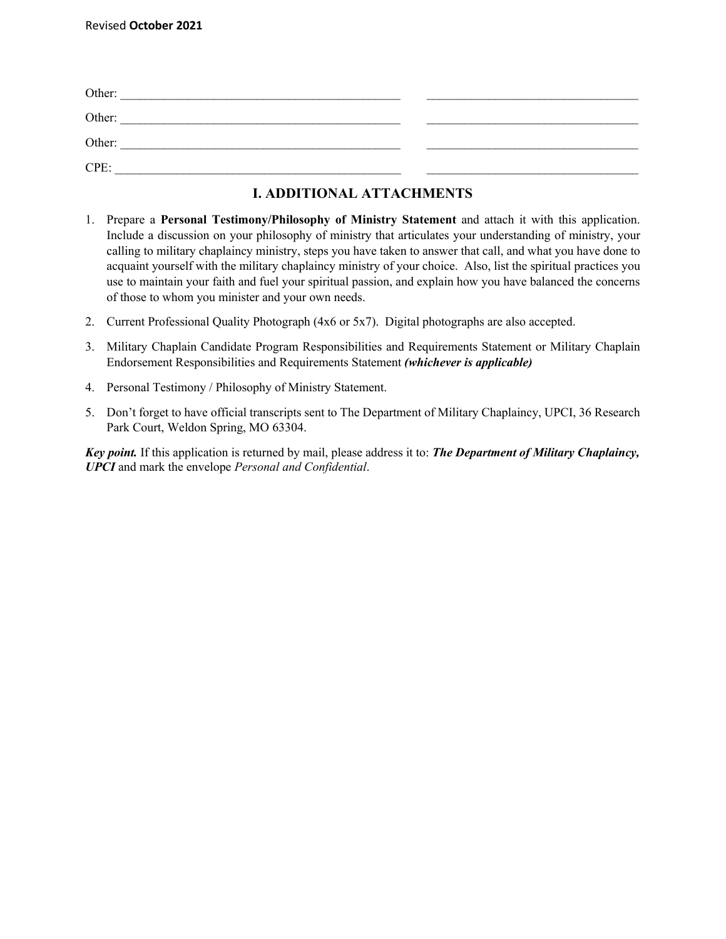| Other: |  |
|--------|--|
| Other: |  |
| Other: |  |
| CPE:   |  |

# **I. ADDITIONAL ATTACHMENTS**

- 1. Prepare a **Personal Testimony/Philosophy of Ministry Statement** and attach it with this application. Include a discussion on your philosophy of ministry that articulates your understanding of ministry, your calling to military chaplaincy ministry, steps you have taken to answer that call, and what you have done to acquaint yourself with the military chaplaincy ministry of your choice. Also, list the spiritual practices you use to maintain your faith and fuel your spiritual passion, and explain how you have balanced the concerns of those to whom you minister and your own needs.
- 2. Current Professional Quality Photograph (4x6 or 5x7). Digital photographs are also accepted.
- 3. Military Chaplain Candidate Program Responsibilities and Requirements Statement or Military Chaplain Endorsement Responsibilities and Requirements Statement *(whichever is applicable)*
- 4. Personal Testimony / Philosophy of Ministry Statement.
- 5. Don't forget to have official transcripts sent to The Department of Military Chaplaincy, UPCI, 36 Research Park Court, Weldon Spring, MO 63304.

*Key point.* If this application is returned by mail, please address it to: *The Department of Military Chaplaincy, UPCI* and mark the envelope *Personal and Confidential*.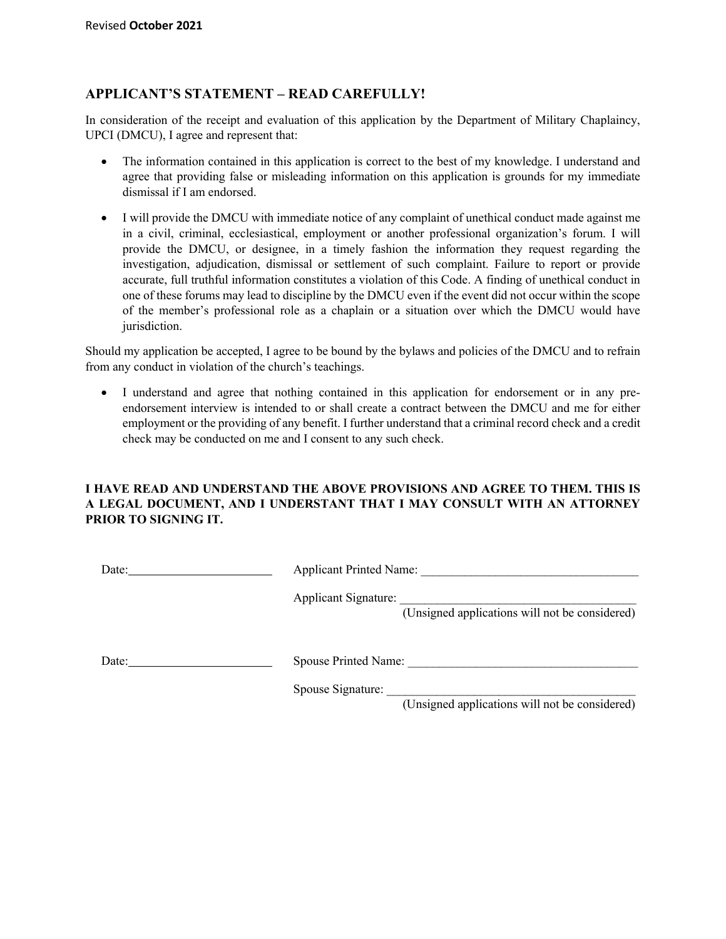## **APPLICANT'S STATEMENT – READ CAREFULLY!**

In consideration of the receipt and evaluation of this application by the Department of Military Chaplaincy, UPCI (DMCU), I agree and represent that:

- The information contained in this application is correct to the best of my knowledge. I understand and agree that providing false or misleading information on this application is grounds for my immediate dismissal if I am endorsed.
- I will provide the DMCU with immediate notice of any complaint of unethical conduct made against me in a civil, criminal, ecclesiastical, employment or another professional organization's forum. I will provide the DMCU, or designee, in a timely fashion the information they request regarding the investigation, adjudication, dismissal or settlement of such complaint. Failure to report or provide accurate, full truthful information constitutes a violation of this Code. A finding of unethical conduct in one of these forums may lead to discipline by the DMCU even if the event did not occur within the scope of the member's professional role as a chaplain or a situation over which the DMCU would have jurisdiction.

Should my application be accepted, I agree to be bound by the bylaws and policies of the DMCU and to refrain from any conduct in violation of the church's teachings.

• I understand and agree that nothing contained in this application for endorsement or in any preendorsement interview is intended to or shall create a contract between the DMCU and me for either employment or the providing of any benefit. I further understand that a criminal record check and a credit check may be conducted on me and I consent to any such check.

#### **I HAVE READ AND UNDERSTAND THE ABOVE PROVISIONS AND AGREE TO THEM. THIS IS A LEGAL DOCUMENT, AND I UNDERSTANT THAT I MAY CONSULT WITH AN ATTORNEY PRIOR TO SIGNING IT.**

| Date: | <b>Applicant Printed Name:</b>                                                |
|-------|-------------------------------------------------------------------------------|
|       | <b>Applicant Signature:</b><br>(Unsigned applications will not be considered) |
| Date: | <b>Spouse Printed Name:</b>                                                   |
|       | Spouse Signature:<br>(Unsigned applications will not be considered)           |